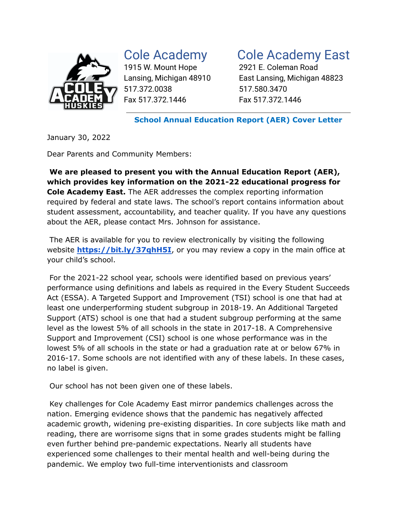

517.372.0038 517.580.3470 Fax 517.372.1446 Fax 517.372.1446

## Cole Academy Cole Academy East

1915 W. Mount Hope 2921 E. Coleman Road Lansing, Michigan 48910 East Lansing, Michigan 48823

**School Annual Education Report (AER) Cover Letter**

January 30, 2022

Dear Parents and Community Members:

**We are pleased to present you with the Annual Education Report (AER), which provides key information on the 2021-22 educational progress for Cole Academy East.** The AER addresses the complex reporting information required by federal and state laws. The school's report contains information about student assessment, accountability, and teacher quality. If you have any questions about the AER, please contact Mrs. Johnson for assistance.

The AER is available for you to review electronically by visiting the following website **<https://bit.ly/37qhH5I>**, or you may review a copy in the main office at your child's school.

For the 2021-22 school year, schools were identified based on previous years' performance using definitions and labels as required in the Every Student Succeeds Act (ESSA). A Targeted Support and Improvement (TSI) school is one that had at least one underperforming student subgroup in 2018-19. An Additional Targeted Support (ATS) school is one that had a student subgroup performing at the same level as the lowest 5% of all schools in the state in 2017-18. A Comprehensive Support and Improvement (CSI) school is one whose performance was in the lowest 5% of all schools in the state or had a graduation rate at or below 67% in 2016-17. Some schools are not identified with any of these labels. In these cases, no label is given.

Our school has not been given one of these labels.

Key challenges for Cole Academy East mirror pandemics challenges across the nation. Emerging evidence shows that the pandemic has negatively affected academic growth, widening pre-existing disparities. In core subjects like math and reading, there are worrisome signs that in some grades students might be falling even further behind pre-pandemic expectations. Nearly all students have experienced some challenges to their mental health and well-being during the pandemic. We employ two full-time interventionists and classroom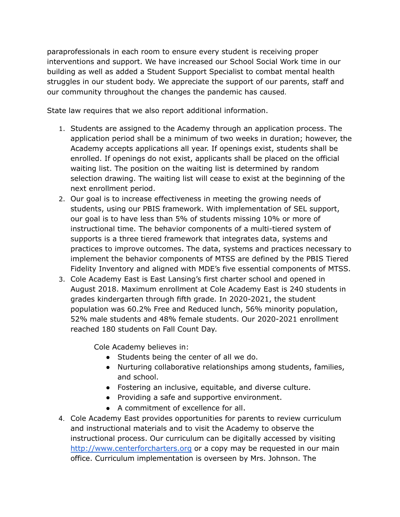paraprofessionals in each room to ensure every student is receiving proper interventions and support. We have increased our School Social Work time in our building as well as added a Student Support Specialist to combat mental health struggles in our student body. We appreciate the support of our parents, staff and our community throughout the changes the pandemic has caused.

State law requires that we also report additional information.

- 1. Students are assigned to the Academy through an application process. The application period shall be a minimum of two weeks in duration; however, the Academy accepts applications all year. If openings exist, students shall be enrolled. If openings do not exist, applicants shall be placed on the official waiting list. The position on the waiting list is determined by random selection drawing. The waiting list will cease to exist at the beginning of the next enrollment period.
- 2. Our goal is to increase effectiveness in meeting the growing needs of students, using our PBIS framework. With implementation of SEL support, our goal is to have less than 5% of students missing 10% or more of instructional time. The behavior components of a multi-tiered system of supports is a three tiered framework that integrates data, systems and practices to improve outcomes. The data, systems and practices necessary to implement the behavior components of MTSS are defined by the PBIS Tiered Fidelity Inventory and aligned with MDE's five essential components of MTSS.
- 3. Cole Academy East is East Lansing's first charter school and opened in August 2018. Maximum enrollment at Cole Academy East is 240 students in grades kindergarten through fifth grade. In 2020-2021, the student population was 60.2% Free and Reduced lunch, 56% minority population, 52% male students and 48% female students. Our 2020-2021 enrollment reached 180 students on Fall Count Day.

Cole Academy believes in:

- Students being the center of all we do.
- Nurturing collaborative relationships among students, families, and school.
- Fostering an inclusive, equitable, and diverse culture.
- Providing a safe and supportive environment.
- A commitment of excellence for all.
- 4. Cole Academy East provides opportunities for parents to review curriculum and instructional materials and to visit the Academy to observe the instructional process. Our curriculum can be digitally accessed by visiting [http://www.centerforcharters.org](http://www.centerforcharters.org/) or a copy may be requested in our main office. Curriculum implementation is overseen by Mrs. Johnson. The